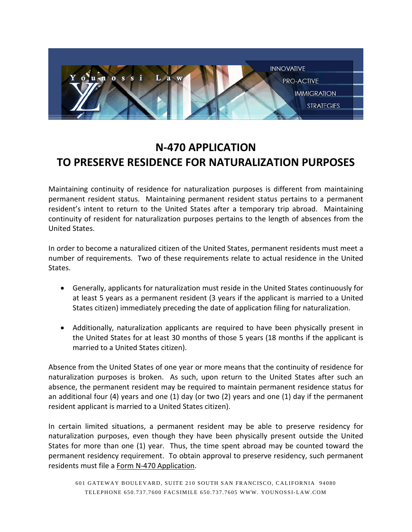

# **N-470 APPLICATION TO PRESERVE RESIDENCE FOR NATURALIZATION PURPOSES**

Maintaining continuity of residence for naturalization purposes is different from maintaining permanent resident status. Maintaining permanent resident status pertains to a permanent resident's intent to return to the United States after a temporary trip abroad. Maintaining continuity of resident for naturalization purposes pertains to the length of absences from the United States.

In order to become a naturalized citizen of the United States, permanent residents must meet a number of requirements. Two of these requirements relate to actual residence in the United States.

- Generally, applicants for naturalization must reside in the United States continuously for at least 5 years as a permanent resident (3 years if the applicant is married to a United States citizen) immediately preceding the date of application filing for naturalization.
- Additionally, naturalization applicants are required to have been physically present in the United States for at least 30 months of those 5 years (18 months if the applicant is married to a United States citizen).

Absence from the United States of one year or more means that the continuity of residence for naturalization purposes is broken. As such, upon return to the United States after such an absence, the permanent resident may be required to maintain permanent residence status for an additional four (4) years and one (1) day (or two (2) years and one (1) day if the permanent resident applicant is married to a United States citizen).

In certain limited situations, a permanent resident may be able to preserve residency for naturalization purposes, even though they have been physically present outside the United States for more than one (1) year. Thus, the time spent abroad may be counted toward the permanent residency requirement. To obtain approval to preserve residency, such permanent residents must file a Form N-470 Application.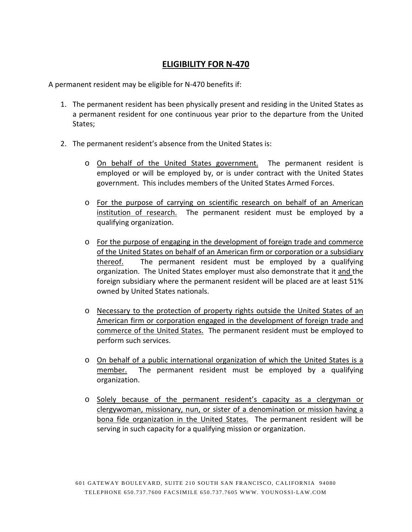#### **ELIGIBILITY FOR N-470**

A permanent resident may be eligible for N-470 benefits if:

- 1. The permanent resident has been physically present and residing in the United States as a permanent resident for one continuous year prior to the departure from the United States;
- 2. The permanent resident's absence from the United States is:
	- o On behalf of the United States government. The permanent resident is employed or will be employed by, or is under contract with the United States government. This includes members of the United States Armed Forces.
	- o For the purpose of carrying on scientific research on behalf of an American institution of research. The permanent resident must be employed by a qualifying organization.
	- o For the purpose of engaging in the development of foreign trade and commerce of the United States on behalf of an American firm or corporation or a subsidiary thereof. The permanent resident must be employed by a qualifying organization. The United States employer must also demonstrate that it and the foreign subsidiary where the permanent resident will be placed are at least 51% owned by United States nationals.
	- o Necessary to the protection of property rights outside the United States of an American firm or corporation engaged in the development of foreign trade and commerce of the United States. The permanent resident must be employed to perform such services.
	- o On behalf of a public international organization of which the United States is a member. The permanent resident must be employed by a qualifying organization.
	- o Solely because of the permanent resident's capacity as a clergyman or clergywoman, missionary, nun, or sister of a denomination or mission having a bona fide organization in the United States. The permanent resident will be serving in such capacity for a qualifying mission or organization.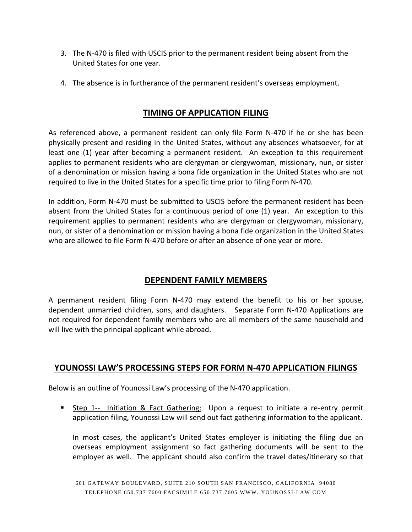- 3. The N-470 is filed with USCIS prior to the permanent resident being absent from the United States for one year.
- 4. The absence is in furtherance of the permanent resident's overseas employment.

#### **TIMING OF APPLICATION FILING**

As referenced above, a permanent resident can only file Form N-470 if he or she has been physically present and residing in the United States, without any absences whatsoever, for at least one (1) year after becoming a permanent resident. An exception to this requirement applies to permanent residents who are clergyman or clergywoman, missionary, nun, or sister of a denomination or mission having a bona fide organization in the United States who are not required to live in the United States for a specific time prior to filing Form N-470.

In addition, Form N-470 must be submitted to USCIS before the permanent resident has been absent from the United States for a continuous period of one (1) year. An exception to this requirement applies to permanent residents who are clergyman or clergywoman, missionary, nun, or sister of a denomination or mission having a bona fide organization in the United States who are allowed to file Form N-470 before or after an absence of one year or more.

### **DEPENDENT FAMILY MEMBERS**

A permanent resident filing Form N-470 may extend the benefit to his or her spouse, dependent unmarried children, sons, and daughters. Separate Form N-470 Applications are not required for dependent family members who are all members of the same household and will live with the principal applicant while abroad.

#### **YOUNOSSI LAW'S PROCESSING STEPS FOR FORM N-470 APPLICATION FILINGS**

Below is an outline of Younossi Law's processing of the N-470 application.

**Step 1--** Initiation & Fact Gathering: Upon a request to initiate a re-entry permit application filing, Younossi Law will send out fact gathering information to the applicant.

In most cases, the applicant's United States employer is initiating the filing due an overseas employment assignment so fact gathering documents will be sent to the employer as well. The applicant should also confirm the travel dates/itinerary so that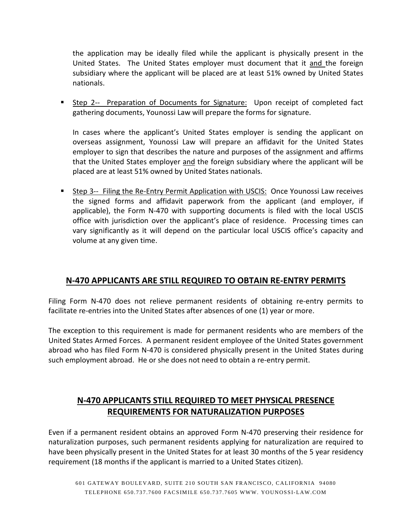the application may be ideally filed while the applicant is physically present in the United States. The United States employer must document that it and the foreign subsidiary where the applicant will be placed are at least 51% owned by United States nationals.

**Step 2--** Preparation of Documents for Signature: Upon receipt of completed fact gathering documents, Younossi Law will prepare the forms for signature.

In cases where the applicant's United States employer is sending the applicant on overseas assignment, Younossi Law will prepare an affidavit for the United States employer to sign that describes the nature and purposes of the assignment and affirms that the United States employer and the foreign subsidiary where the applicant will be placed are at least 51% owned by United States nationals.

 Step 3-- Filing the Re-Entry Permit Application with USCIS: Once Younossi Law receives the signed forms and affidavit paperwork from the applicant (and employer, if applicable), the Form N-470 with supporting documents is filed with the local USCIS office with jurisdiction over the applicant's place of residence. Processing times can vary significantly as it will depend on the particular local USCIS office's capacity and volume at any given time.

### **N-470 APPLICANTS ARE STILL REQUIRED TO OBTAIN RE-ENTRY PERMITS**

Filing Form N-470 does not relieve permanent residents of obtaining re-entry permits to facilitate re-entries into the United States after absences of one (1) year or more.

The exception to this requirement is made for permanent residents who are members of the United States Armed Forces. A permanent resident employee of the United States government abroad who has filed Form N-470 is considered physically present in the United States during such employment abroad. He or she does not need to obtain a re-entry permit.

## **N-470 APPLICANTS STILL REQUIRED TO MEET PHYSICAL PRESENCE REQUIREMENTS FOR NATURALIZATION PURPOSES**

Even if a permanent resident obtains an approved Form N-470 preserving their residence for naturalization purposes, such permanent residents applying for naturalization are required to have been physically present in the United States for at least 30 months of the 5 year residency requirement (18 months if the applicant is married to a United States citizen).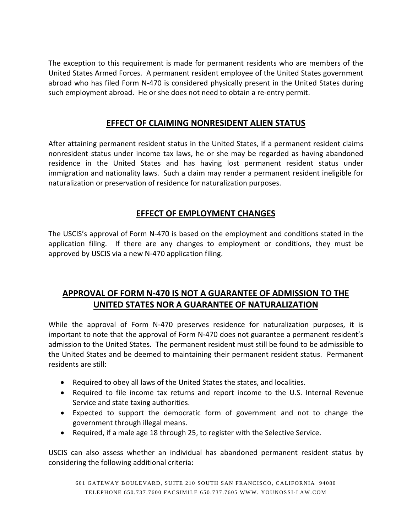The exception to this requirement is made for permanent residents who are members of the United States Armed Forces. A permanent resident employee of the United States government abroad who has filed Form N-470 is considered physically present in the United States during such employment abroad. He or she does not need to obtain a re-entry permit.

#### **EFFECT OF CLAIMING NONRESIDENT ALIEN STATUS**

After attaining permanent resident status in the United States, if a permanent resident claims nonresident status under income tax laws, he or she may be regarded as having abandoned residence in the United States and has having lost permanent resident status under immigration and nationality laws. Such a claim may render a permanent resident ineligible for naturalization or preservation of residence for naturalization purposes.

### **EFFECT OF EMPLOYMENT CHANGES**

The USCIS's approval of Form N-470 is based on the employment and conditions stated in the application filing. If there are any changes to employment or conditions, they must be approved by USCIS via a new N-470 application filing.

# **APPROVAL OF FORM N-470 IS NOT A GUARANTEE OF ADMISSION TO THE UNITED STATES NOR A GUARANTEE OF NATURALIZATION**

While the approval of Form N-470 preserves residence for naturalization purposes, it is important to note that the approval of Form N-470 does not guarantee a permanent resident's admission to the United States. The permanent resident must still be found to be admissible to the United States and be deemed to maintaining their permanent resident status. Permanent residents are still:

- Required to obey all laws of the United States the states, and localities.
- Required to file income tax returns and report income to the U.S. Internal Revenue Service and state taxing authorities.
- Expected to support the democratic form of government and not to change the government through illegal means.
- Required, if a male age 18 through 25, to register with the Selective Service.

USCIS can also assess whether an individual has abandoned permanent resident status by considering the following additional criteria: